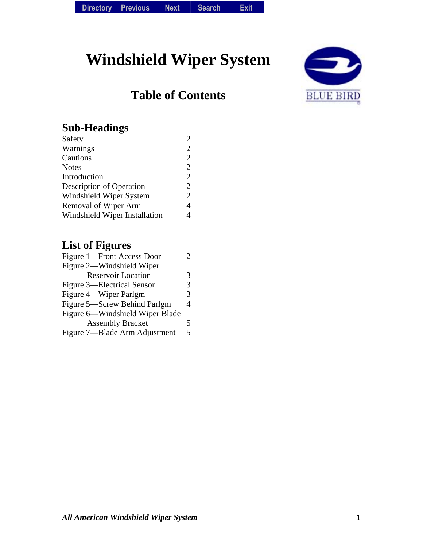# **Windshield Wiper System**

# **Table of Contents**



### **Sub-Headings**

| Safety                          | $\overline{2}$ |
|---------------------------------|----------------|
| Warnings                        | $\overline{2}$ |
| Cautions                        | 2              |
| Notes                           | $\overline{2}$ |
| Introduction                    | 2              |
| <b>Description of Operation</b> | 2              |
| Windshield Wiper System         | $\overline{2}$ |
| <b>Removal of Wiper Arm</b>     | 4              |
| Windshield Wiper Installation   |                |
|                                 |                |

## **List of Figures**

| Figure 1—Front Access Door        |   |
|-----------------------------------|---|
| Figure 2—Windshield Wiper         |   |
| <b>Reservoir Location</b>         | 3 |
| <b>Figure 3—Electrical Sensor</b> | 3 |
| Figure 4—Wiper Parlgm             | 3 |
| Figure 5—Screw Behind Parlgm      | 4 |
| Figure 6—Windshield Wiper Blade   |   |
| <b>Assembly Bracket</b>           | 5 |
| Figure 7—Blade Arm Adjustment     | 5 |
|                                   |   |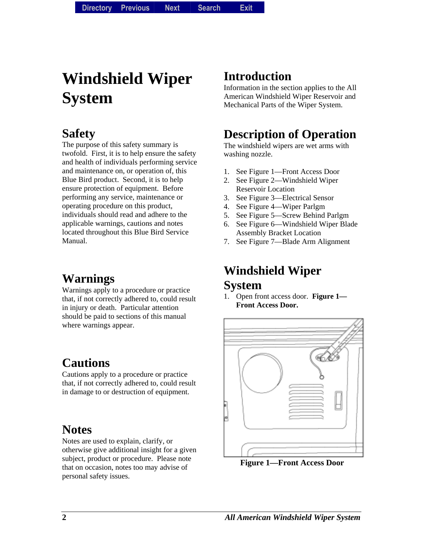# **Windshield Wiper System**

### **Safety**

The purpose of this safety summary is twofold. First, it is to help ensure the safety and health of individuals performing service and maintenance on, or operation of, this Blue Bird product. Second, it is to help ensure protection of equipment. Before performing any service, maintenance or operating procedure on this product, individuals should read and adhere to the applicable warnings, cautions and notes located throughout this Blue Bird Service Manual.

# **Warnings**

Warnings apply to a procedure or practice that, if not correctly adhered to, could result in injury or death. Particular attention should be paid to sections of this manual where warnings appear.

## **Cautions**

Cautions apply to a procedure or practice that, if not correctly adhered to, could result in damage to or destruction of equipment.

#### **Notes**

Notes are used to explain, clarify, or otherwise give additional insight for a given subject, product or procedure. Please note that on occasion, notes too may advise of personal safety issues.

## **Introduction**

Information in the section applies to the All American Windshield Wiper Reservoir and Mechanical Parts of the Wiper System.

# **Description of Operation**

The windshield wipers are wet arms with washing nozzle.

- 1. See Figure 1—Front Access Door
- 2. See Figure 2—Windshield Wiper Reservoir Location
- 3. See Figure 3—Electrical Sensor
- 4. See Figure 4—Wiper Parlgm
- 5. See Figure 5—Screw Behind Parlgm
- 6. See Figure 6—Windshield Wiper Blade Assembly Bracket Location
- 7. See Figure 7—Blade Arm Alignment

#### **Windshield Wiper System**

1. Open front access door. **Figure 1— Front Access Door.**



**Figure 1—Front Access Door**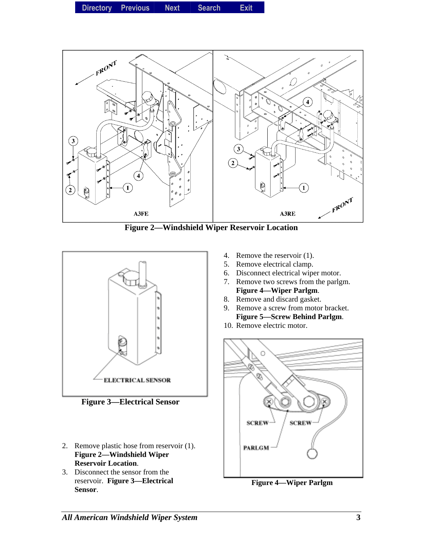**Directory Directory Previous** *Previous* **Next Search** *Search***Exit** *Exit*



**Figure 2—Windshield Wiper Reservoir Location** 



**Figure 3—Electrical Sensor** 

- 2. Remove plastic hose from reservoir (1). **Figure 2—Windshield Wiper Reservoir Location**.
- 3. Disconnect the sensor from the reservoir. **Figure 3—Electrical Sensor**.
- 4. Remove the reservoir (1).
- 5. Remove electrical clamp.
- 6. Disconnect electrical wiper motor.
- 7. Remove two screws from the parlgm. **Figure 4—Wiper Parlgm**.
- 8. Remove and discard gasket.
- 9. Remove a screw from motor bracket. **Figure 5—Screw Behind Parlgm**.
- 10. Remove electric motor.



**Figure 4—Wiper Parlgm**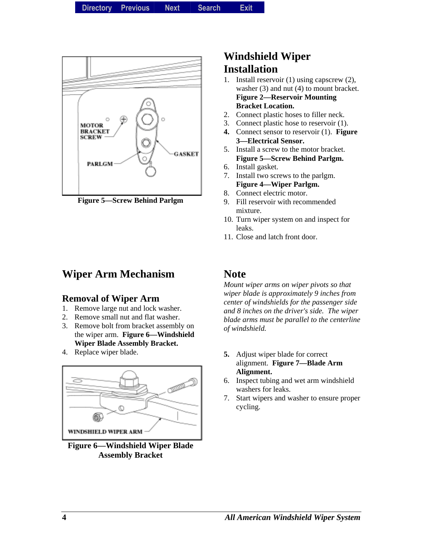

**Figure 5—Screw Behind Parlgm** 

#### **Wiper Arm Mechanism**

#### **Removal of Wiper Arm**

- 1. Remove large nut and lock washer.
- 2. Remove small nut and flat washer.
- 3. Remove bolt from bracket assembly on the wiper arm. **Figure 6—Windshield Wiper Blade Assembly Bracket.**
- 4. Replace wiper blade.



**Figure 6—Windshield Wiper Blade Assembly Bracket** 

#### **Windshield Wiper Installation**

- 1. Install reservoir (1) using capscrew (2), washer (3) and nut (4) to mount bracket. **Figure 2—Reservoir Mounting Bracket Location.**
- 2. Connect plastic hoses to filler neck.
- 3. Connect plastic hose to reservoir (1).
- **4.** Connect sensor to reservoir (1). **Figure 3—Electrical Sensor.**
- 5. Install a screw to the motor bracket. **Figure 5—Screw Behind Parlgm.**
- 6. Install gasket.
- 7. Install two screws to the parlgm. **Figure 4—Wiper Parlgm.**
- 8. Connect electric motor.
- 9. Fill reservoir with recommended mixture.
- 10. Turn wiper system on and inspect for leaks.
- 11. Close and latch front door.

#### **Note**

*Mount wiper arms on wiper pivots so that wiper blade is approximately 9 inches from center of windshields for the passenger side and 8 inches on the driver's side. The wiper blade arms must be parallel to the centerline of windshield.* 

- **5.** Adjust wiper blade for correct alignment. **Figure 7—Blade Arm Alignment.**
- 6. Inspect tubing and wet arm windshield washers for leaks.
- 7. Start wipers and washer to ensure proper cycling.